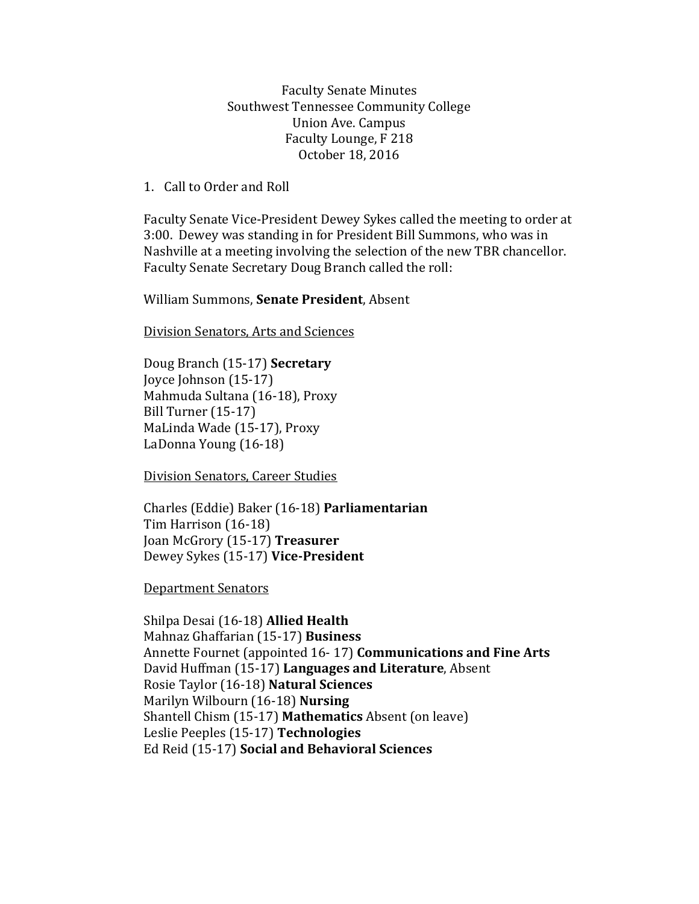Faculty Senate Minutes Southwest Tennessee Community College Union Ave. Campus Faculty Lounge, F 218 October 18, 2016

1. Call to Order and Roll

Faculty Senate Vice-President Dewey Sykes called the meeting to order at 3:00. Dewey was standing in for President Bill Summons, who was in Nashville at a meeting involving the selection of the new TBR chancellor. Faculty Senate Secretary Doug Branch called the roll:

William Summons, **Senate President**, Absent

Division Senators, Arts and Sciences

Doug Branch (15-17) **Secretary** Joyce Johnson (15-17) Mahmuda Sultana (16-18), Proxy Bill Turner (15-17) MaLinda Wade (15-17), Proxy LaDonna Young (16-18)

Division Senators, Career Studies

Charles (Eddie) Baker (16-18) **Parliamentarian** Tim Harrison (16-18) Joan McGrory (15-17) **Treasurer** Dewey Sykes (15-17) **Vice-President**

Department Senators

Shilpa Desai (16-18) **Allied Health** Mahnaz Ghaffarian (15-17) **Business** Annette Fournet (appointed 16- 17) **Communications and Fine Arts** David Huffman (15-17) **Languages and Literature**, Absent Rosie Taylor (16-18) **Natural Sciences**  Marilyn Wilbourn (16-18) **Nursing** Shantell Chism (15-17) **Mathematics** Absent (on leave) Leslie Peeples (15-17) **Technologies**  Ed Reid (15-17) **Social and Behavioral Sciences**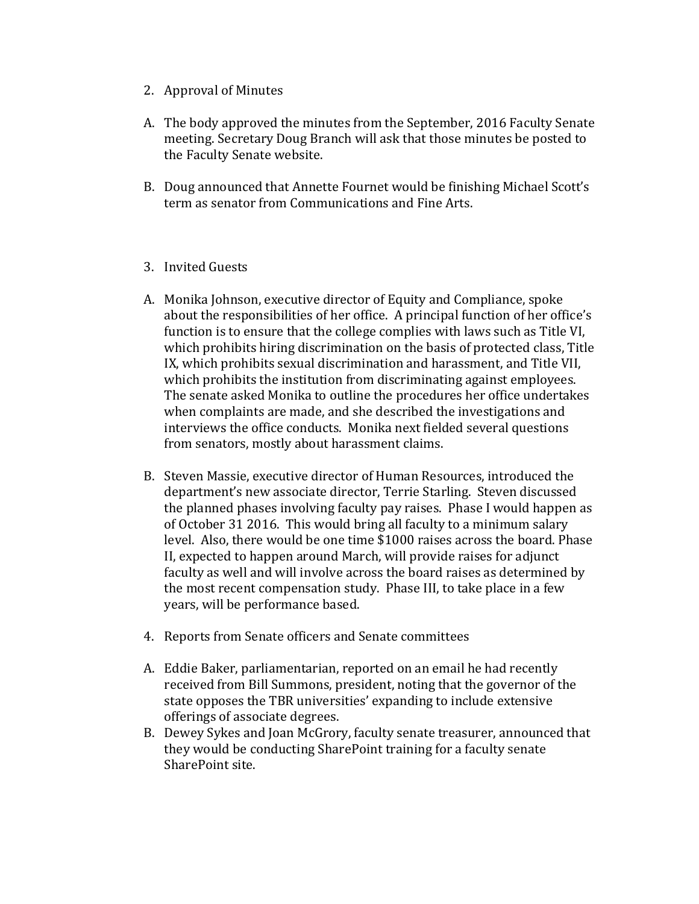- 2. Approval of Minutes
- A. The body approved the minutes from the September, 2016 Faculty Senate meeting. Secretary Doug Branch will ask that those minutes be posted to the Faculty Senate website.
- B. Doug announced that Annette Fournet would be finishing Michael Scott's term as senator from Communications and Fine Arts.
- 3. Invited Guests
- A. Monika Johnson, executive director of Equity and Compliance, spoke about the responsibilities of her office. A principal function of her office's function is to ensure that the college complies with laws such as Title VI, which prohibits hiring discrimination on the basis of protected class, Title IX, which prohibits sexual discrimination and harassment, and Title VII, which prohibits the institution from discriminating against employees. The senate asked Monika to outline the procedures her office undertakes when complaints are made, and she described the investigations and interviews the office conducts. Monika next fielded several questions from senators, mostly about harassment claims.
- B. Steven Massie, executive director of Human Resources, introduced the department's new associate director, Terrie Starling. Steven discussed the planned phases involving faculty pay raises. Phase I would happen as of October 31 2016. This would bring all faculty to a minimum salary level. Also, there would be one time \$1000 raises across the board. Phase II, expected to happen around March, will provide raises for adjunct faculty as well and will involve across the board raises as determined by the most recent compensation study. Phase III, to take place in a few years, will be performance based.
- 4. Reports from Senate officers and Senate committees
- A. Eddie Baker, parliamentarian, reported on an email he had recently received from Bill Summons, president, noting that the governor of the state opposes the TBR universities' expanding to include extensive offerings of associate degrees.
- B. Dewey Sykes and Joan McGrory, faculty senate treasurer, announced that they would be conducting SharePoint training for a faculty senate SharePoint site.